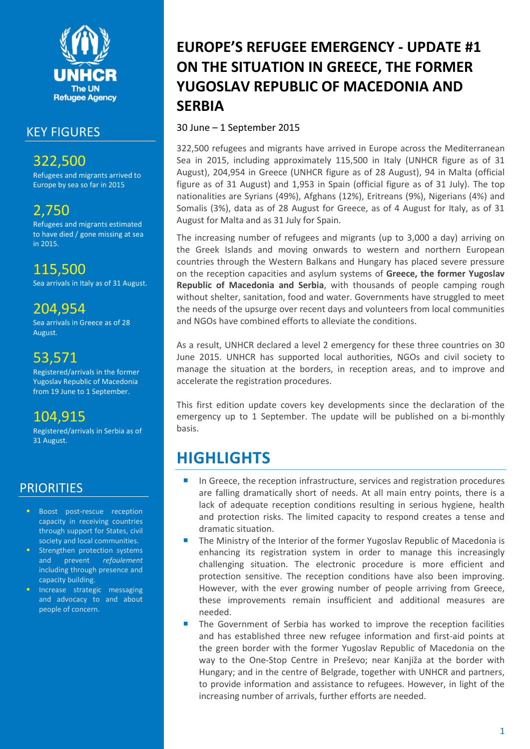

### KEY FIGURES

322,500 Refugees and migrants arrived to Europe by sea so far in 2015

# 2,750

Refugees and migrants estimated to have died / gone missing at sea in 2015.

## 115,500

Sea arrivals in Italy as of 31 August.

## 204,954

Sea arrivals in Greece as of 28 August.

## 53,571

Registered/arrivals in the former Yugoslav Republic of Macedonia from 19 June to 1 September.

## 104,915

Registered/arrivals in Serbia as of 31 August.

## **PRIORITIES**

- **Boost post-rescue reception** capacity in receiving countries through support for States, civil society and local communities.
- Strengthen protection systems and prevent *refoulement* including through presence and capacity building.
- Increase strategic messaging and advocacy to and about people of concern.

# **EUROPE'S REFUGEE EMERGENCY - UPDATE #1 ON THE SITUATION IN GREECE, THE FORMER YUGOSLAV REPUBLIC OF MACEDONIA AND SERBIA**

30 June – 1 September 2015

322,500 refugees and migrants have arrived in Europe across the Mediterranean Sea in 2015, including approximately 115,500 in Italy (UNHCR figure as of 31 August), 204,954 in Greece (UNHCR figure as of 28 August), 94 in Malta (official figure as of 31 August) and 1,953 in Spain (official figure as of 31 July). The top nationalities are Syrians (49%), Afghans (12%), Eritreans (9%), Nigerians (4%) and Somalis (3%), data as of 28 August for Greece, as of 4 August for Italy, as of 31 August for Malta and as 31 July for Spain.

The increasing number of refugees and migrants (up to 3,000 a day) arriving on the Greek Islands and moving onwards to western and northern European countries through the Western Balkans and Hungary has placed severe pressure on the reception capacities and asylum systems of **Greece, the former Yugoslav Republic of Macedonia and Serbia**, with thousands of people camping rough without shelter, sanitation, food and water. Governments have struggled to meet the needs of the upsurge over recent days and volunteers from local communities and NGOs have combined efforts to alleviate the conditions.

As a result, UNHCR declared a level 2 emergency for these three countries on 30 June 2015. UNHCR has supported local authorities, NGOs and civil society to manage the situation at the borders, in reception areas, and to improve and accelerate the registration procedures.

This first edition update covers key developments since the declaration of the emergency up to 1 September. The update will be published on a bi-monthly basis.

# **HIGHLIGHTS**

- In Greece, the reception infrastructure, services and registration procedures are falling dramatically short of needs. At all main entry points, there is a lack of adequate reception conditions resulting in serious hygiene, health and protection risks. The limited capacity to respond creates a tense and dramatic situation.
- The Ministry of the Interior of the former Yugoslav Republic of Macedonia is enhancing its registration system in order to manage this increasingly challenging situation. The electronic procedure is more efficient and protection sensitive. The reception conditions have also been improving. However, with the ever growing number of people arriving from Greece, these improvements remain insufficient and additional measures are needed.
- The Government of Serbia has worked to improve the reception facilities and has established three new refugee information and first-aid points at the green border with the former Yugoslav Republic of Macedonia on the way to the One-Stop Centre in Preševo; near Kanjiža at the border with Hungary; and in the centre of Belgrade, together with UNHCR and partners, to provide information and assistance to refugees. However, in light of the increasing number of arrivals, further efforts are needed.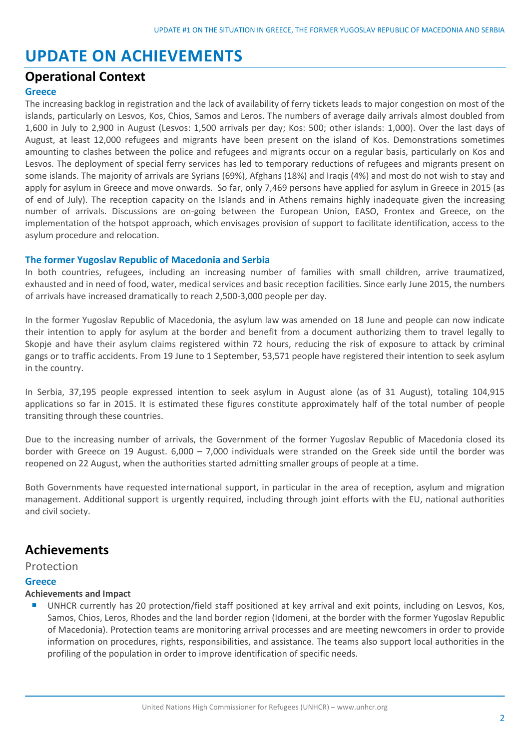# **UPDATE ON ACHIEVEMENTS**

### **Operational Context**

#### **Greece**

The increasing backlog in registration and the lack of availability of ferry tickets leads to major congestion on most of the islands, particularly on Lesvos, Kos, Chios, Samos and Leros. The numbers of average daily arrivals almost doubled from 1,600 in July to 2,900 in August (Lesvos: 1,500 arrivals per day; Kos: 500; other islands: 1,000). Over the last days of August, at least 12,000 refugees and migrants have been present on the island of Kos. Demonstrations sometimes amounting to clashes between the police and refugees and migrants occur on a regular basis, particularly on Kos and Lesvos. The deployment of special ferry services has led to temporary reductions of refugees and migrants present on some islands. The majority of arrivals are Syrians (69%), Afghans (18%) and Iraqis (4%) and most do not wish to stay and apply for asylum in Greece and move onwards. So far, only 7,469 persons have applied for asylum in Greece in 2015 (as of end of July). The reception capacity on the Islands and in Athens remains highly inadequate given the increasing number of arrivals. Discussions are on-going between the European Union, EASO, Frontex and Greece, on the implementation of the hotspot approach, which envisages provision of support to facilitate identification, access to the asylum procedure and relocation.

#### **The former Yugoslav Republic of Macedonia and Serbia**

In both countries, refugees, including an increasing number of families with small children, arrive traumatized, exhausted and in need of food, water, medical services and basic reception facilities. Since early June 2015, the numbers of arrivals have increased dramatically to reach 2,500-3,000 people per day.

In the former Yugoslav Republic of Macedonia, the asylum law was amended on 18 June and people can now indicate their intention to apply for asylum at the border and benefit from a document authorizing them to travel legally to Skopje and have their asylum claims registered within 72 hours, reducing the risk of exposure to attack by criminal gangs or to traffic accidents. From 19 June to 1 September, 53,571 people have registered their intention to seek asylum in the country.

In Serbia, 37,195 people expressed intention to seek asylum in August alone (as of 31 August), totaling 104,915 applications so far in 2015. It is estimated these figures constitute approximately half of the total number of people transiting through these countries.

Due to the increasing number of arrivals, the Government of the former Yugoslav Republic of Macedonia closed its border with Greece on 19 August. 6,000 – 7,000 individuals were stranded on the Greek side until the border was reopened on 22 August, when the authorities started admitting smaller groups of people at a time.

Both Governments have requested international support, in particular in the area of reception, asylum and migration management. Additional support is urgently required, including through joint efforts with the EU, national authorities and civil society.

### **Achievements**

#### Protection

#### **Greece**

#### **Achievements and Impact**

 UNHCR currently has 20 protection/field staff positioned at key arrival and exit points, including on Lesvos, Kos, Samos, Chios, Leros, Rhodes and the land border region (Idomeni, at the border with the former Yugoslav Republic of Macedonia). Protection teams are monitoring arrival processes and are meeting newcomers in order to provide information on procedures, rights, responsibilities, and assistance. The teams also support local authorities in the profiling of the population in order to improve identification of specific needs.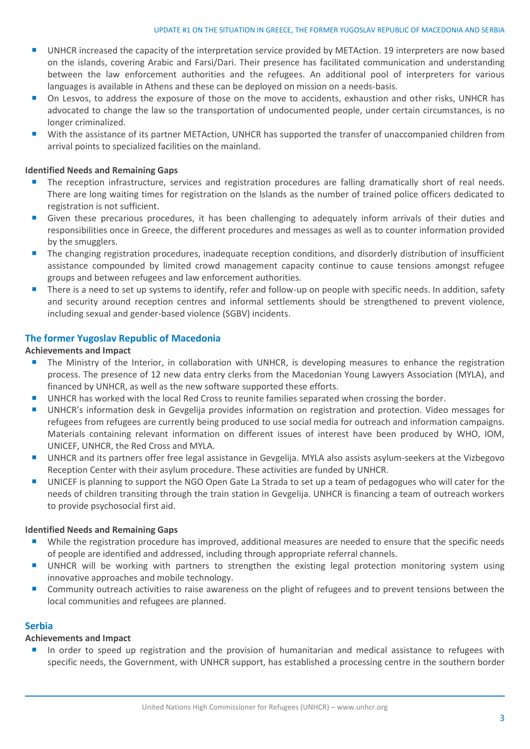#### UPDATE #1 ON THE SITUATION IN GREECE, THE FORMER YUGOSLAV REPUBLIC OF MACEDONIA AND SERBIA

- UNHCR increased the capacity of the interpretation service provided by METAction. 19 interpreters are now based on the islands, covering Arabic and Farsi/Dari. Their presence has facilitated communication and understanding between the law enforcement authorities and the refugees. An additional pool of interpreters for various languages is available in Athens and these can be deployed on mission on a needs-basis.
- On Lesvos, to address the exposure of those on the move to accidents, exhaustion and other risks, UNHCR has advocated to change the law so the transportation of undocumented people, under certain circumstances, is no longer criminalized.
- With the assistance of its partner METAction, UNHCR has supported the transfer of unaccompanied children from arrival points to specialized facilities on the mainland.

#### **Identified Needs and Remaining Gaps**

- The reception infrastructure, services and registration procedures are falling dramatically short of real needs. There are long waiting times for registration on the Islands as the number of trained police officers dedicated to registration is not sufficient.
- Given these precarious procedures, it has been challenging to adequately inform arrivals of their duties and responsibilities once in Greece, the different procedures and messages as well as to counter information provided by the smugglers.
- **The changing registration procedures, inadequate reception conditions, and disorderly distribution of insufficient** assistance compounded by limited crowd management capacity continue to cause tensions amongst refugee groups and between refugees and law enforcement authorities.
- There is a need to set up systems to identify, refer and follow-up on people with specific needs. In addition, safety and security around reception centres and informal settlements should be strengthened to prevent violence, including sexual and gender-based violence (SGBV) incidents.

#### **The former Yugoslav Republic of Macedonia**

#### **Achievements and Impact**

- **The Ministry of the Interior, in collaboration with UNHCR, is developing measures to enhance the registration** process. The presence of 12 new data entry clerks from the Macedonian Young Lawyers Association (MYLA), and financed by UNHCR, as well as the new software supported these efforts.
- UNHCR has worked with the local Red Cross to reunite families separated when crossing the border.
- UNHCR's information desk in Gevgelija provides information on registration and protection. Video messages for refugees from refugees are currently being produced to use social media for outreach and information campaigns. Materials containing relevant information on different issues of interest have been produced by WHO, IOM, UNICEF, UNHCR, the Red Cross and MYLA.
- UNHCR and its partners offer free legal assistance in Gevgelija. MYLA also assists asylum-seekers at the Vizbegovo Reception Center with their asylum procedure. These activities are funded by UNHCR.
- UNICEF is planning to support the NGO Open Gate La Strada to set up a team of pedagogues who will cater for the needs of children transiting through the train station in Gevgelija. UNHCR is financing a team of outreach workers to provide psychosocial first aid.

#### **Identified Needs and Remaining Gaps**

- While the registration procedure has improved, additional measures are needed to ensure that the specific needs of people are identified and addressed, including through appropriate referral channels.
- **UNHCR** will be working with partners to strengthen the existing legal protection monitoring system using innovative approaches and mobile technology.
- **Community outreach activities to raise awareness on the plight of refugees and to prevent tensions between the** local communities and refugees are planned.

#### **Serbia**

#### **Achievements and Impact**

In order to speed up registration and the provision of humanitarian and medical assistance to refugees with specific needs, the Government, with UNHCR support, has established a processing centre in the southern border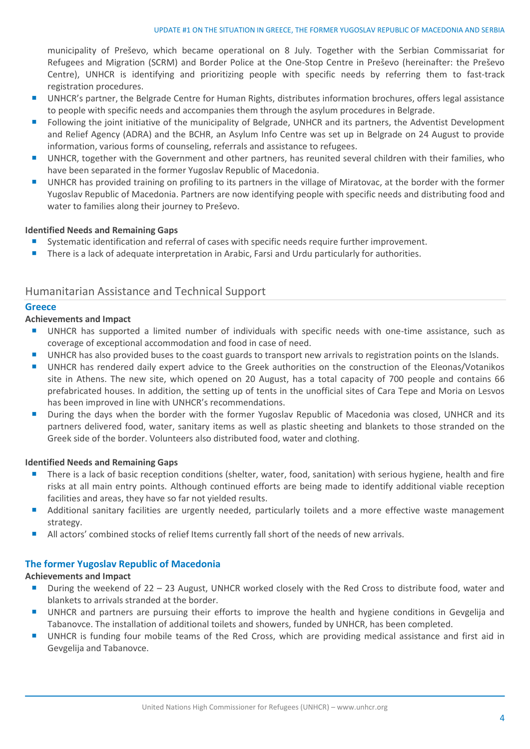municipality of Preševo, which became operational on 8 July. Together with the Serbian Commissariat for Refugees and Migration (SCRM) and Border Police at the One-Stop Centre in Preševo (hereinafter: the Preševo Centre), UNHCR is identifying and prioritizing people with specific needs by referring them to fast-track registration procedures.

- **UNHCR's partner, the Belgrade Centre for Human Rights, distributes information brochures, offers legal assistance** to people with specific needs and accompanies them through the asylum procedures in Belgrade.
- **F** Following the joint initiative of the municipality of Belgrade, UNHCR and its partners, the Adventist Development and Relief Agency (ADRA) and the BCHR, an Asylum Info Centre was set up in Belgrade on 24 August to provide information, various forms of counseling, referrals and assistance to refugees.
- UNHCR, together with the Government and other partners, has reunited several children with their families, who have been separated in the former Yugoslav Republic of Macedonia.
- UNHCR has provided training on profiling to its partners in the village of Miratovac, at the border with the former Yugoslav Republic of Macedonia. Partners are now identifying people with specific needs and distributing food and water to families along their journey to Preševo.

#### **Identified Needs and Remaining Gaps**

- Systematic identification and referral of cases with specific needs require further improvement.
- **There is a lack of adequate interpretation in Arabic, Farsi and Urdu particularly for authorities.**

#### Humanitarian Assistance and Technical Support

#### **Greece**

#### **Achievements and Impact**

- UNHCR has supported a limited number of individuals with specific needs with one-time assistance, such as coverage of exceptional accommodation and food in case of need.
- UNHCR has also provided buses to the coast guards to transport new arrivals to registration points on the Islands.
- UNHCR has rendered daily expert advice to the Greek authorities on the construction of the Eleonas/Votanikos site in Athens. The new site, which opened on 20 August, has a total capacity of 700 people and contains 66 prefabricated houses. In addition, the setting up of tents in the unofficial sites of Cara Tepe and Moria on Lesvos has been improved in line with UNHCR's recommendations.
- **During the days when the border with the former Yugoslay Republic of Macedonia was closed. UNHCR and its** partners delivered food, water, sanitary items as well as plastic sheeting and blankets to those stranded on the Greek side of the border. Volunteers also distributed food, water and clothing.

#### **Identified Needs and Remaining Gaps**

- There is a lack of basic reception conditions (shelter, water, food, sanitation) with serious hygiene, health and fire risks at all main entry points. Although continued efforts are being made to identify additional viable reception facilities and areas, they have so far not yielded results.
- Additional sanitary facilities are urgently needed, particularly toilets and a more effective waste management strategy.
- All actors' combined stocks of relief Items currently fall short of the needs of new arrivals.

#### **The former Yugoslav Republic of Macedonia**

#### **Achievements and Impact**

- During the weekend of 22 23 August, UNHCR worked closely with the Red Cross to distribute food, water and blankets to arrivals stranded at the border.
- UNHCR and partners are pursuing their efforts to improve the health and hygiene conditions in Gevgelija and Tabanovce. The installation of additional toilets and showers, funded by UNHCR, has been completed.
- UNHCR is funding four mobile teams of the Red Cross, which are providing medical assistance and first aid in Gevgelija and Tabanovce.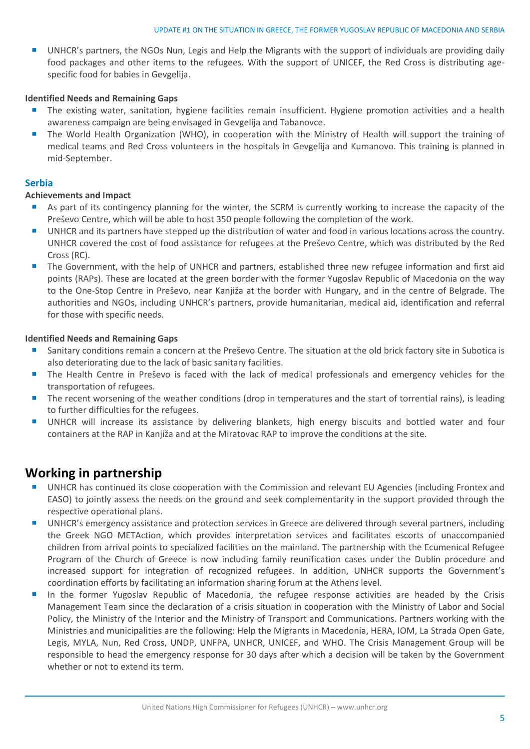UNHCR's partners, the NGOs Nun, Legis and Help the Migrants with the support of individuals are providing daily food packages and other items to the refugees. With the support of UNICEF, the Red Cross is distributing agespecific food for babies in Gevgelija.

#### **Identified Needs and Remaining Gaps**

- The existing water, sanitation, hygiene facilities remain insufficient. Hygiene promotion activities and a health awareness campaign are being envisaged in Gevgelija and Tabanovce.
- The World Health Organization (WHO), in cooperation with the Ministry of Health will support the training of medical teams and Red Cross volunteers in the hospitals in Gevgelija and Kumanovo. This training is planned in mid-September.

#### **Serbia**

#### **Achievements and Impact**

- As part of its contingency planning for the winter, the SCRM is currently working to increase the capacity of the Preševo Centre, which will be able to host 350 people following the completion of the work.
- UNHCR and its partners have stepped up the distribution of water and food in various locations across the country. UNHCR covered the cost of food assistance for refugees at the Preševo Centre, which was distributed by the Red Cross (RC).
- The Government, with the help of UNHCR and partners, established three new refugee information and first aid points (RAPs). These are located at the green border with the former Yugoslav Republic of Macedonia on the way to the One-Stop Centre in Preševo, near Kanjiža at the border with Hungary, and in the centre of Belgrade. The authorities and NGOs, including UNHCR's partners, provide humanitarian, medical aid, identification and referral for those with specific needs.

#### **Identified Needs and Remaining Gaps**

- Sanitary conditions remain a concern at the Preševo Centre. The situation at the old brick factory site in Subotica is also deteriorating due to the lack of basic sanitary facilities.
- The Health Centre in Preševo is faced with the lack of medical professionals and emergency vehicles for the transportation of refugees.
- The recent worsening of the weather conditions (drop in temperatures and the start of torrential rains), is leading to further difficulties for the refugees.
- UNHCR will increase its assistance by delivering blankets, high energy biscuits and bottled water and four containers at the RAP in Kanjiža and at the Miratovac RAP to improve the conditions at the site.

### **Working in partnership**

- UNHCR has continued its close cooperation with the Commission and relevant EU Agencies (including Frontex and EASO) to jointly assess the needs on the ground and seek complementarity in the support provided through the respective operational plans.
- **UNHCR's emergency assistance and protection services in Greece are delivered through several partners, including** the Greek NGO METAction, which provides interpretation services and facilitates escorts of unaccompanied children from arrival points to specialized facilities on the mainland. The partnership with the Ecumenical Refugee Program of the Church of Greece is now including family reunification cases under the Dublin procedure and increased support for integration of recognized refugees. In addition, UNHCR supports the Government's coordination efforts by facilitating an information sharing forum at the Athens level.
- In the former Yugoslav Republic of Macedonia, the refugee response activities are headed by the Crisis Management Team since the declaration of a crisis situation in cooperation with the Ministry of Labor and Social Policy, the Ministry of the Interior and the Ministry of Transport and Communications. Partners working with the Ministries and municipalities are the following: Help the Migrants in Macedonia, HERA, IOM, La Strada Open Gate, Legis, MYLA, Nun, Red Cross, UNDP, UNFPA, UNHCR, UNICEF, and WHO. The Crisis Management Group will be responsible to head the emergency response for 30 days after which a decision will be taken by the Government whether or not to extend its term.